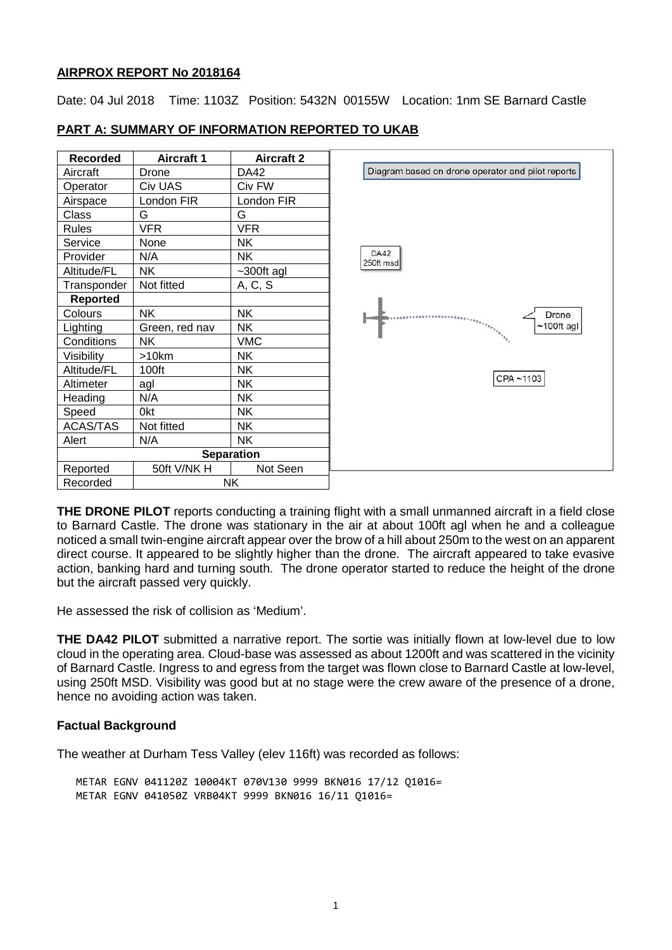### **AIRPROX REPORT No 2018164**

Date: 04 Jul 2018 Time: 1103Z Position: 5432N 00155W Location: 1nm SE Barnard Castle

| Recorded          | <b>Aircraft 1</b> | <b>Aircraft 2</b> |                        |
|-------------------|-------------------|-------------------|------------------------|
| Aircraft          | Drone             | DA42              | Diagr                  |
| Operator          | Civ UAS           | Civ FW            |                        |
| Airspace          | London FIR        | London FIR        |                        |
| Class             | G                 | G                 |                        |
| Rules             | VFR               | <b>VFR</b>        |                        |
| Service           | None              | ΝK                |                        |
| Provider          | N/A               | NΚ                | <b>DA42</b><br>250ft m |
| Altitude/FL       | ΝK                | $~1$ -300ft agl   |                        |
| Transponder       | Not fitted        | A, C, S           |                        |
| <b>Reported</b>   |                   |                   |                        |
| Colours           | NΚ                | <b>NK</b>         |                        |
| Lighting          | Green, red nav    | NΚ                |                        |
| Conditions        | NK.               | <b>VMC</b>        |                        |
| Visibility        | >10km             | <b>NK</b>         |                        |
| Altitude/FL       | 100ft             | ΝK                |                        |
| Altimeter         | agl               | ΝK                |                        |
| Heading           | N/A               | ΝK                |                        |
| Speed             | 0kt               | NΚ                |                        |
| <b>ACAS/TAS</b>   | Not fitted        | ΝK                |                        |
| Alert             | N/A               | ΝK                |                        |
| <b>Separation</b> |                   |                   |                        |
| Reported          | 50ft V/NK H       | Not Seen          |                        |
| Recorded          | NΚ                |                   |                        |

# **PART A: SUMMARY OF INFORMATION REPORTED TO UKAB**



am based on drone operator and pilot reports

**THE DRONE PILOT** reports conducting a training flight with a small unmanned aircraft in a field close to Barnard Castle. The drone was stationary in the air at about 100ft agl when he and a colleague noticed a small twin-engine aircraft appear over the brow of a hill about 250m to the west on an apparent direct course. It appeared to be slightly higher than the drone. The aircraft appeared to take evasive action, banking hard and turning south. The drone operator started to reduce the height of the drone but the aircraft passed very quickly.

He assessed the risk of collision as 'Medium'.

**THE DA42 PILOT** submitted a narrative report. The sortie was initially flown at low-level due to low cloud in the operating area. Cloud-base was assessed as about 1200ft and was scattered in the vicinity of Barnard Castle. Ingress to and egress from the target was flown close to Barnard Castle at low-level, using 250ft MSD. Visibility was good but at no stage were the crew aware of the presence of a drone, hence no avoiding action was taken.

# **Factual Background**

The weather at Durham Tess Valley (elev 116ft) was recorded as follows:

METAR EGNV 041120Z 10004KT 070V130 9999 BKN016 17/12 Q1016= METAR EGNV 041050Z VRB04KT 9999 BKN016 16/11 Q1016=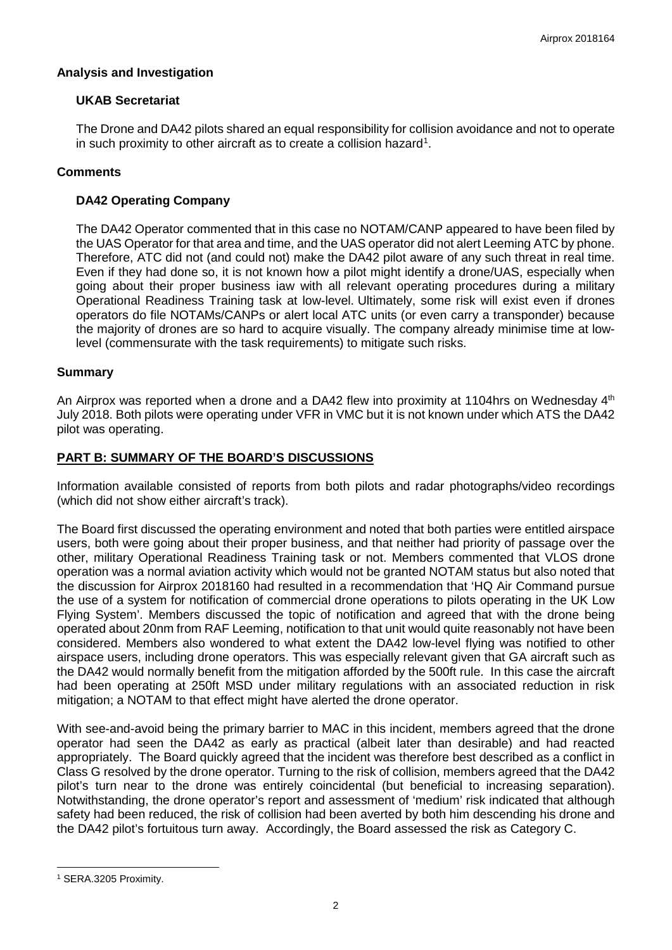# **Analysis and Investigation**

# **UKAB Secretariat**

The Drone and DA42 pilots shared an equal responsibility for collision avoidance and not to operate in such proximity to other aircraft as to create a collision hazard<sup>1</sup>.

## **Comments**

## **DA42 Operating Company**

The DA42 Operator commented that in this case no NOTAM/CANP appeared to have been filed by the UAS Operator for that area and time, and the UAS operator did not alert Leeming ATC by phone. Therefore, ATC did not (and could not) make the DA42 pilot aware of any such threat in real time. Even if they had done so, it is not known how a pilot might identify a drone/UAS, especially when going about their proper business iaw with all relevant operating procedures during a military Operational Readiness Training task at low-level. Ultimately, some risk will exist even if drones operators do file NOTAMs/CANPs or alert local ATC units (or even carry a transponder) because the majority of drones are so hard to acquire visually. The company already minimise time at lowlevel (commensurate with the task requirements) to mitigate such risks.

### **Summary**

An Airprox was reported when a drone and a DA42 flew into proximity at 1104hrs on Wednesday 4<sup>th</sup> July 2018. Both pilots were operating under VFR in VMC but it is not known under which ATS the DA42 pilot was operating.

### **PART B: SUMMARY OF THE BOARD'S DISCUSSIONS**

Information available consisted of reports from both pilots and radar photographs/video recordings (which did not show either aircraft's track).

The Board first discussed the operating environment and noted that both parties were entitled airspace users, both were going about their proper business, and that neither had priority of passage over the other, military Operational Readiness Training task or not. Members commented that VLOS drone operation was a normal aviation activity which would not be granted NOTAM status but also noted that the discussion for Airprox 2018160 had resulted in a recommendation that 'HQ Air Command pursue the use of a system for notification of commercial drone operations to pilots operating in the UK Low Flying System'. Members discussed the topic of notification and agreed that with the drone being operated about 20nm from RAF Leeming, notification to that unit would quite reasonably not have been considered. Members also wondered to what extent the DA42 low-level flying was notified to other airspace users, including drone operators. This was especially relevant given that GA aircraft such as the DA42 would normally benefit from the mitigation afforded by the 500ft rule. In this case the aircraft had been operating at 250ft MSD under military regulations with an associated reduction in risk mitigation; a NOTAM to that effect might have alerted the drone operator.

With see-and-avoid being the primary barrier to MAC in this incident, members agreed that the drone operator had seen the DA42 as early as practical (albeit later than desirable) and had reacted appropriately. The Board quickly agreed that the incident was therefore best described as a conflict in Class G resolved by the drone operator. Turning to the risk of collision, members agreed that the DA42 pilot's turn near to the drone was entirely coincidental (but beneficial to increasing separation). Notwithstanding, the drone operator's report and assessment of 'medium' risk indicated that although safety had been reduced, the risk of collision had been averted by both him descending his drone and the DA42 pilot's fortuitous turn away. Accordingly, the Board assessed the risk as Category C.

 $\overline{\phantom{a}}$ 

<span id="page-1-0"></span><sup>1</sup> SERA.3205 Proximity.